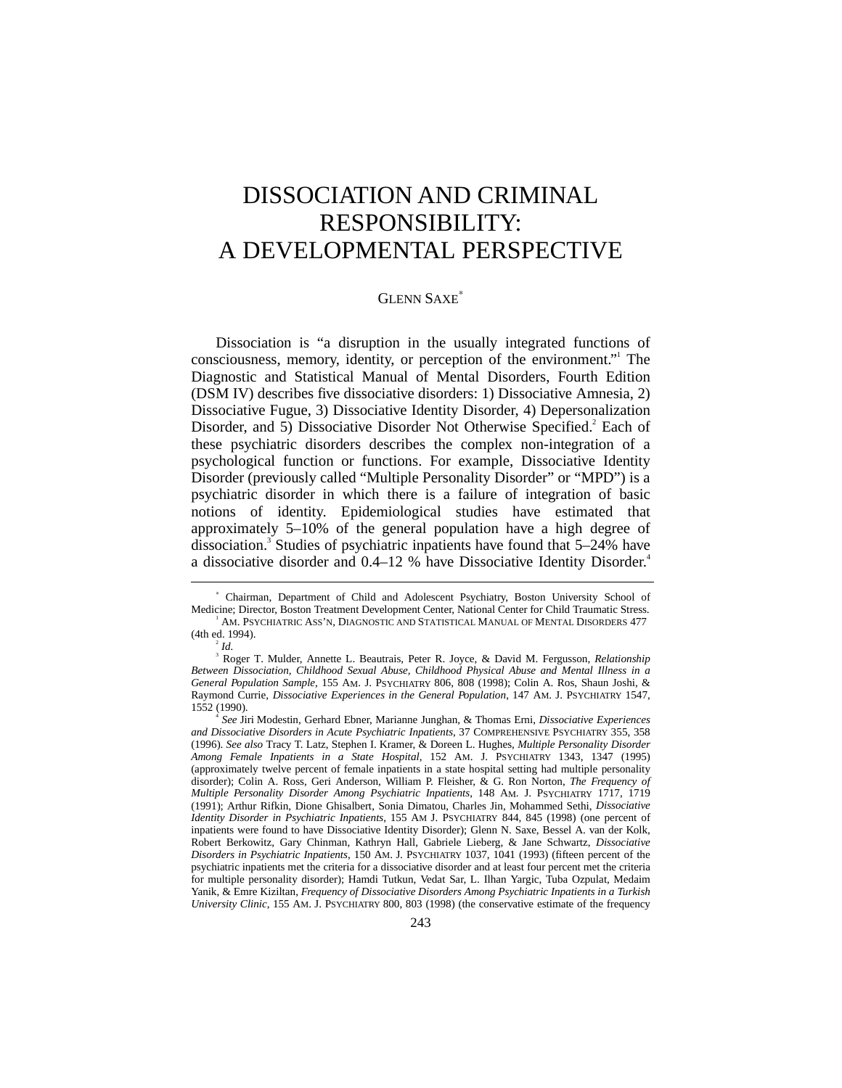# DISSOCIATION AND CRIMINAL RESPONSIBILITY: A DEVELOPMENTAL PERSPECTIVE

### GLENN SAXE<sup>∗</sup>

Dissociation is "a disruption in the usually integrated functions of consciousness, memory, identity, or perception of the environment." The Diagnostic and Statistical Manual of Mental Disorders, Fourth Edition (DSM IV) describes five dissociative disorders: 1) Dissociative Amnesia, 2) Dissociative Fugue, 3) Dissociative Identity Disorder, 4) Depersonalization Disorder, and 5) Dissociative Disorder Not Otherwise Specified.<sup>2</sup> Each of these psychiatric disorders describes the complex non-integration of a psychological function or functions. For example, Dissociative Identity Disorder (previously called "Multiple Personality Disorder" or "MPD") is a psychiatric disorder in which there is a failure of integration of basic notions of identity. Epidemiological studies have estimated that approximately 5–10% of the general population have a high degree of dissociation.<sup>3</sup> Studies of psychiatric inpatients have found that 5-24% have a dissociative disorder and 0.4–12 % have Dissociative Identity Disorder.<sup>4</sup>

-

<sup>∗</sup> Chairman, Department of Child and Adolescent Psychiatry, Boston University School of Medicine; Director, Boston Treatment Development Center, National Center for Child Traumatic Stress.

<sup>&</sup>lt;sup>1</sup> AM. PSYCHIATRIC ASS'N, DIAGNOSTIC AND STATISTICAL MANUAL OF MENTAL DISORDERS 477 (4th ed. 1994).

*Id.*

<sup>3</sup> Roger T. Mulder, Annette L. Beautrais, Peter R. Joyce, & David M. Fergusson, *Relationship Between Dissociation, Childhood Sexual Abuse, Childhood Physical Abuse and Mental Illness in a General Population Sample*, 155 AM. J. PSYCHIATRY 806, 808 (1998); Colin A. Ros, Shaun Joshi, & Raymond Currie, *Dissociative Experiences in the General Population*, 147 AM. J. PSYCHIATRY 1547, 1552 (1990). <sup>4</sup>

*See* Jiri Modestin, Gerhard Ebner, Marianne Junghan, & Thomas Erni, *Dissociative Experiences and Dissociative Disorders in Acute Psychiatric Inpatients*, 37 COMPREHENSIVE PSYCHIATRY 355, 358 (1996). *See also* Tracy T. Latz, Stephen I. Kramer, & Doreen L. Hughes, *Multiple Personality Disorder Among Female Inpatients in a State Hospital*, 152 AM. J. PSYCHIATRY 1343, 1347 (1995) (approximately twelve percent of female inpatients in a state hospital setting had multiple personality disorder); Colin A. Ross, Geri Anderson, William P. Fleisher, & G. Ron Norton, *The Frequency of Multiple Personality Disorder Among Psychiatric Inpatients*, 148 AM. J. PSYCHIATRY 1717, 1719 (1991); Arthur Rifkin, Dione Ghisalbert, Sonia Dimatou, Charles Jin, Mohammed Sethi, *Dissociative Identity Disorder in Psychiatric Inpatients*, 155 AM J. PSYCHIATRY 844, 845 (1998) (one percent of inpatients were found to have Dissociative Identity Disorder); Glenn N. Saxe, Bessel A. van der Kolk, Robert Berkowitz, Gary Chinman, Kathryn Hall, Gabriele Lieberg, & Jane Schwartz, *Dissociative Disorders in Psychiatric Inpatients*, 150 AM. J. PSYCHIATRY 1037, 1041 (1993) (fifteen percent of the psychiatric inpatients met the criteria for a dissociative disorder and at least four percent met the criteria for multiple personality disorder); Hamdi Tutkun, Vedat Sar, L. Ilhan Yargic, Tuba Ozpulat, Medaim Yanik, & Emre Kiziltan, *Frequency of Dissociative Disorders Among Psychiatric Inpatients in a Turkish University Clinic*, 155 AM. J. PSYCHIATRY 800, 803 (1998) (the conservative estimate of the frequency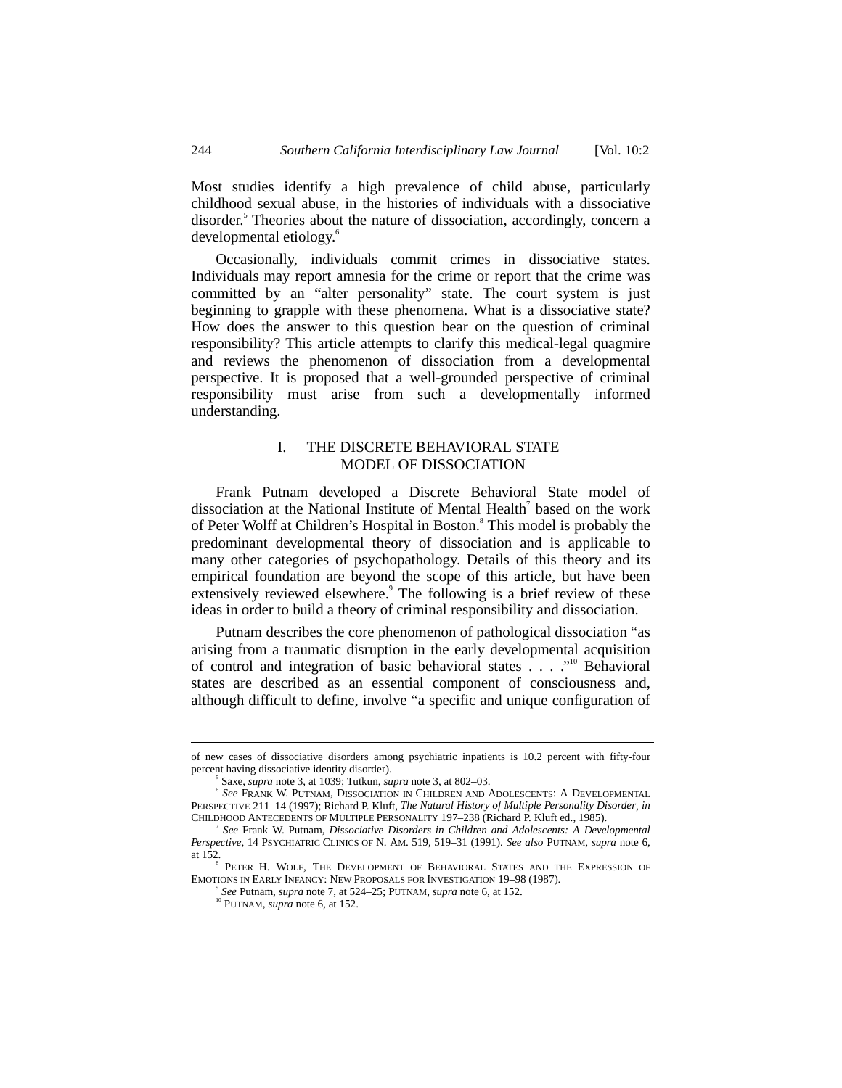Most studies identify a high prevalence of child abuse, particularly childhood sexual abuse, in the histories of individuals with a dissociative disorder.<sup>5</sup> Theories about the nature of dissociation, accordingly, concern a developmental etiology.<sup>6</sup>

Occasionally, individuals commit crimes in dissociative states. Individuals may report amnesia for the crime or report that the crime was committed by an "alter personality" state. The court system is just beginning to grapple with these phenomena. What is a dissociative state? How does the answer to this question bear on the question of criminal responsibility? This article attempts to clarify this medical-legal quagmire and reviews the phenomenon of dissociation from a developmental perspective. It is proposed that a well-grounded perspective of criminal responsibility must arise from such a developmentally informed understanding.

## I. THE DISCRETE BEHAVIORAL STATE MODEL OF DISSOCIATION

Frank Putnam developed a Discrete Behavioral State model of dissociation at the National Institute of Mental Health<sup>7</sup> based on the work of Peter Wolff at Children's Hospital in Boston.<sup>8</sup> This model is probably the predominant developmental theory of dissociation and is applicable to many other categories of psychopathology. Details of this theory and its empirical foundation are beyond the scope of this article, but have been extensively reviewed elsewhere.<sup>9</sup> The following is a brief review of these ideas in order to build a theory of criminal responsibility and dissociation.

Putnam describes the core phenomenon of pathological dissociation "as arising from a traumatic disruption in the early developmental acquisition of control and integration of basic behavioral states . . . . "<sup>10</sup> Behavioral states are described as an essential component of consciousness and, although difficult to define, involve "a specific and unique configuration of

of new cases of dissociative disorders among psychiatric inpatients is 10.2 percent with fifty-four percent having dissociative identity disorder).

Saxe, *supra* note 3, at 1039; Tutkun, *supra* note 3, at 802–03. <sup>6</sup>

*See* FRANK W. PUTNAM, DISSOCIATION IN CHILDREN AND ADOLESCENTS: A DEVELOPMENTAL PERSPECTIVE 211–14 (1997); Richard P. Kluft, *The Natural History of Multiple Personality Disorder*, *in* CHILDHOOD ANTECEDENTS OF MULTIPLE PERSONALITY 197–238 (Richard P. Kluft ed., 1985).

<sup>7</sup> *See* Frank W. Putnam, *Dissociative Disorders in Children and Adolescents: A Developmental Perspective*, 14 PSYCHIATRIC CLINICS OF N. AM. 519, 519–31 (1991). *See also* PUTNAM, *supra* note 6, at 152.

PETER H. WOLF, THE DEVELOPMENT OF BEHAVIORAL STATES AND THE EXPRESSION OF EMOTIONS IN EARLY INFANCY: NEW PROPOSALS FOR INVESTIGATION 19–98 (1987).

<sup>9</sup> *See* Putnam, *supra* note 7, at 524–25; PUTNAM, *supra* note 6, at 152. 10 PUTNAM, *supra* note 6, at 152.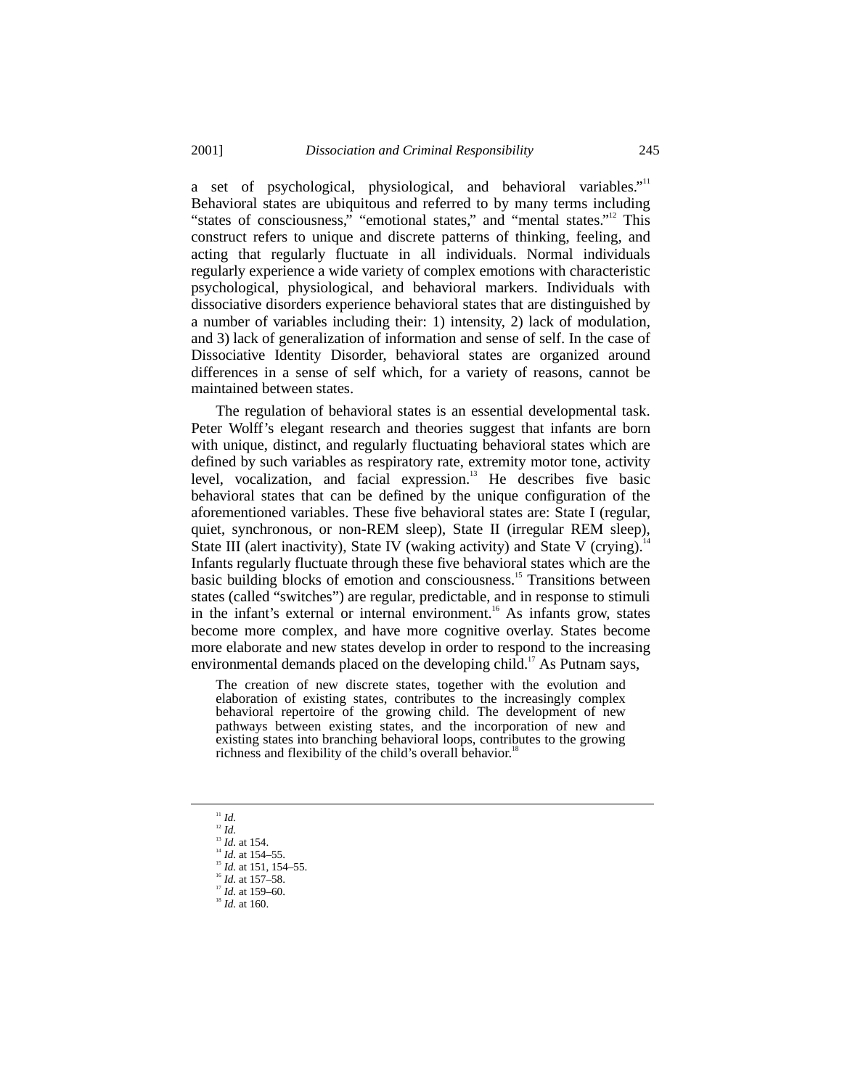a set of psychological, physiological, and behavioral variables."<sup>11</sup> Behavioral states are ubiquitous and referred to by many terms including "states of consciousness," "emotional states," and "mental states."<sup>12</sup> This construct refers to unique and discrete patterns of thinking, feeling, and acting that regularly fluctuate in all individuals. Normal individuals regularly experience a wide variety of complex emotions with characteristic psychological, physiological, and behavioral markers. Individuals with dissociative disorders experience behavioral states that are distinguished by a number of variables including their: 1) intensity, 2) lack of modulation, and 3) lack of generalization of information and sense of self. In the case of Dissociative Identity Disorder, behavioral states are organized around differences in a sense of self which, for a variety of reasons, cannot be maintained between states.

The regulation of behavioral states is an essential developmental task. Peter Wolff's elegant research and theories suggest that infants are born with unique, distinct, and regularly fluctuating behavioral states which are defined by such variables as respiratory rate, extremity motor tone, activity level, vocalization, and facial expression.13 He describes five basic behavioral states that can be defined by the unique configuration of the aforementioned variables. These five behavioral states are: State I (regular, quiet, synchronous, or non-REM sleep), State II (irregular REM sleep), State III (alert inactivity), State IV (waking activity) and State V (crying).<sup>1</sup> Infants regularly fluctuate through these five behavioral states which are the basic building blocks of emotion and consciousness.<sup>15</sup> Transitions between states (called "switches") are regular, predictable, and in response to stimuli in the infant's external or internal environment.<sup>16</sup> As infants grow, states become more complex, and have more cognitive overlay. States become more elaborate and new states develop in order to respond to the increasing environmental demands placed on the developing child.<sup>17</sup> As Putnam says,

The creation of new discrete states, together with the evolution and elaboration of existing states, contributes to the increasingly complex behavioral repertoire of the growing child. The development of new pathways between existing states, and the incorporation of new and existing states into branching behavioral loops, contributes to the growing richness and flexibility of the child's overall behavior.<sup>1</sup>

- $11$  *Id.*
- $\frac{12}{13}$  *Id.* at 154.
- 
- $\frac{14}{14}$  *Id.* at 154–55.
- <sup>15</sup> *Id.* at 151, 154–55.<br><sup>16</sup> *Id.* at 157–58.
- 
- <sup>17</sup> *Id.* at 159–60.<br><sup>18</sup> *Id.* at 160.
-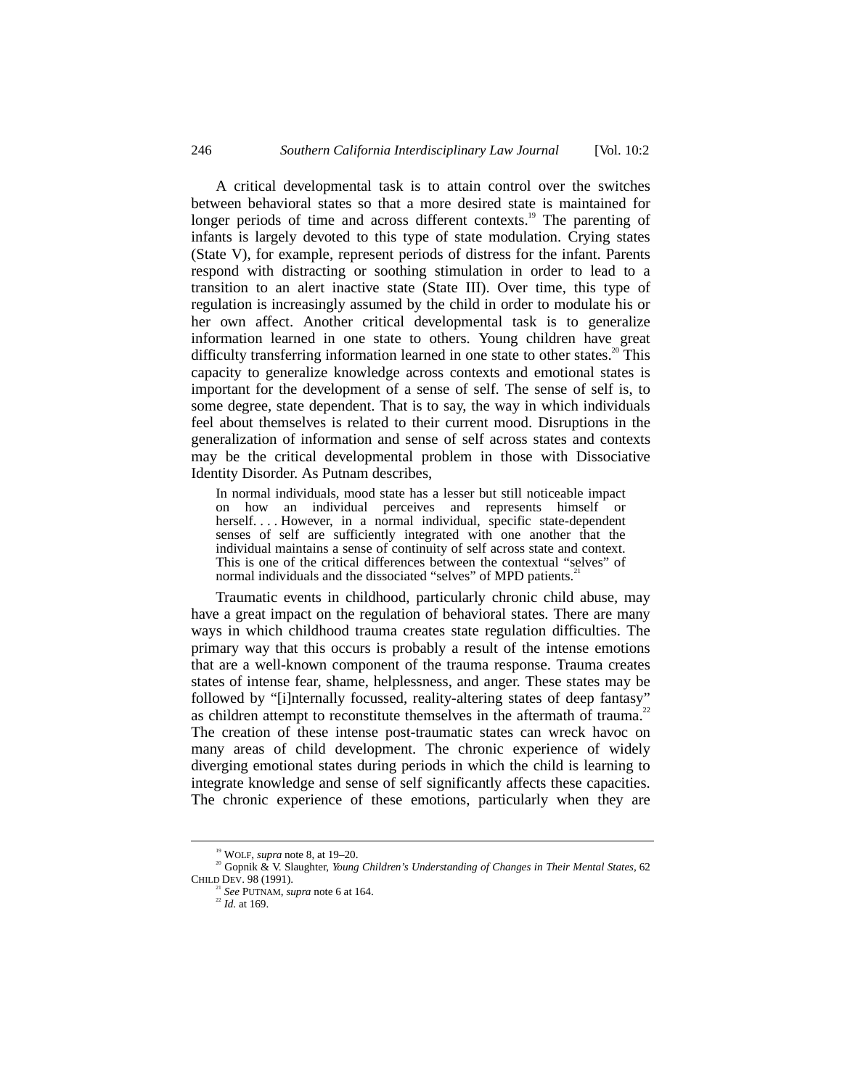A critical developmental task is to attain control over the switches between behavioral states so that a more desired state is maintained for longer periods of time and across different contexts.<sup>19</sup> The parenting of infants is largely devoted to this type of state modulation. Crying states (State V), for example, represent periods of distress for the infant. Parents respond with distracting or soothing stimulation in order to lead to a transition to an alert inactive state (State III). Over time, this type of regulation is increasingly assumed by the child in order to modulate his or her own affect. Another critical developmental task is to generalize information learned in one state to others. Young children have great difficulty transferring information learned in one state to other states.<sup>20</sup> This capacity to generalize knowledge across contexts and emotional states is important for the development of a sense of self. The sense of self is, to some degree, state dependent. That is to say, the way in which individuals feel about themselves is related to their current mood. Disruptions in the generalization of information and sense of self across states and contexts may be the critical developmental problem in those with Dissociative Identity Disorder. As Putnam describes,

In normal individuals, mood state has a lesser but still noticeable impact on how an individual perceives and represents himself or herself. . . . However, in a normal individual, specific state-dependent senses of self are sufficiently integrated with one another that the individual maintains a sense of continuity of self across state and context. This is one of the critical differences between the contextual "selves" of normal individuals and the dissociated "selves" of MPD patients.<sup>2</sup>

Traumatic events in childhood, particularly chronic child abuse, may have a great impact on the regulation of behavioral states. There are many ways in which childhood trauma creates state regulation difficulties. The primary way that this occurs is probably a result of the intense emotions that are a well-known component of the trauma response. Trauma creates states of intense fear, shame, helplessness, and anger. These states may be followed by "[i]nternally focussed, reality-altering states of deep fantasy" as children attempt to reconstitute themselves in the aftermath of trauma.<sup>22</sup> The creation of these intense post-traumatic states can wreck havoc on many areas of child development. The chronic experience of widely diverging emotional states during periods in which the child is learning to integrate knowledge and sense of self significantly affects these capacities. The chronic experience of these emotions, particularly when they are

 <sup>19</sup> WOLF, *supra* note 8, at 19–20.

<sup>&</sup>lt;sup>20</sup> Gopnik & V. Slaughter, *Young Children's Understanding of Changes in Their Mental States*, 62 CHILD DEV. 98 (1991).

<sup>21</sup> *See* PUTNAM, *supra* note 6 at 164. <sup>22</sup> *Id.* at 169.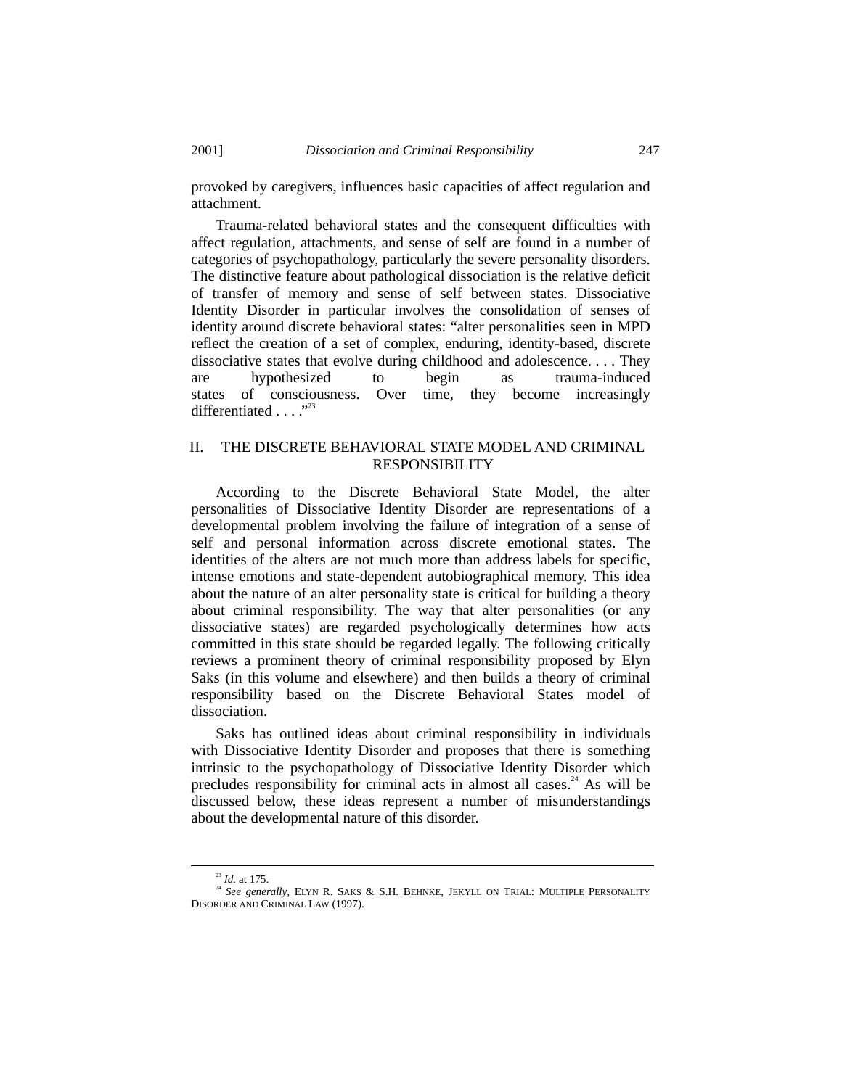provoked by caregivers, influences basic capacities of affect regulation and attachment.

Trauma-related behavioral states and the consequent difficulties with affect regulation, attachments, and sense of self are found in a number of categories of psychopathology, particularly the severe personality disorders. The distinctive feature about pathological dissociation is the relative deficit of transfer of memory and sense of self between states. Dissociative Identity Disorder in particular involves the consolidation of senses of identity around discrete behavioral states: "alter personalities seen in MPD reflect the creation of a set of complex, enduring, identity-based, discrete dissociative states that evolve during childhood and adolescence. . . . They are hypothesized to begin as trauma-induced states of consciousness. Over time, they become increasingly differentiated . . . ."<sup>23</sup>

## II. THE DISCRETE BEHAVIORAL STATE MODEL AND CRIMINAL RESPONSIBILITY

According to the Discrete Behavioral State Model, the alter personalities of Dissociative Identity Disorder are representations of a developmental problem involving the failure of integration of a sense of self and personal information across discrete emotional states. The identities of the alters are not much more than address labels for specific, intense emotions and state-dependent autobiographical memory. This idea about the nature of an alter personality state is critical for building a theory about criminal responsibility. The way that alter personalities (or any dissociative states) are regarded psychologically determines how acts committed in this state should be regarded legally. The following critically reviews a prominent theory of criminal responsibility proposed by Elyn Saks (in this volume and elsewhere) and then builds a theory of criminal responsibility based on the Discrete Behavioral States model of dissociation.

Saks has outlined ideas about criminal responsibility in individuals with Dissociative Identity Disorder and proposes that there is something intrinsic to the psychopathology of Dissociative Identity Disorder which precludes responsibility for criminal acts in almost all cases.<sup>24</sup> As will be discussed below, these ideas represent a number of misunderstandings about the developmental nature of this disorder.

 <sup>23</sup> *Id.* at 175.

<sup>&</sup>lt;sup>24</sup> See generally, ELYN R. SAKS & S.H. BEHNKE, JEKYLL ON TRIAL: MULTIPLE PERSONALITY DISORDER AND CRIMINAL LAW (1997).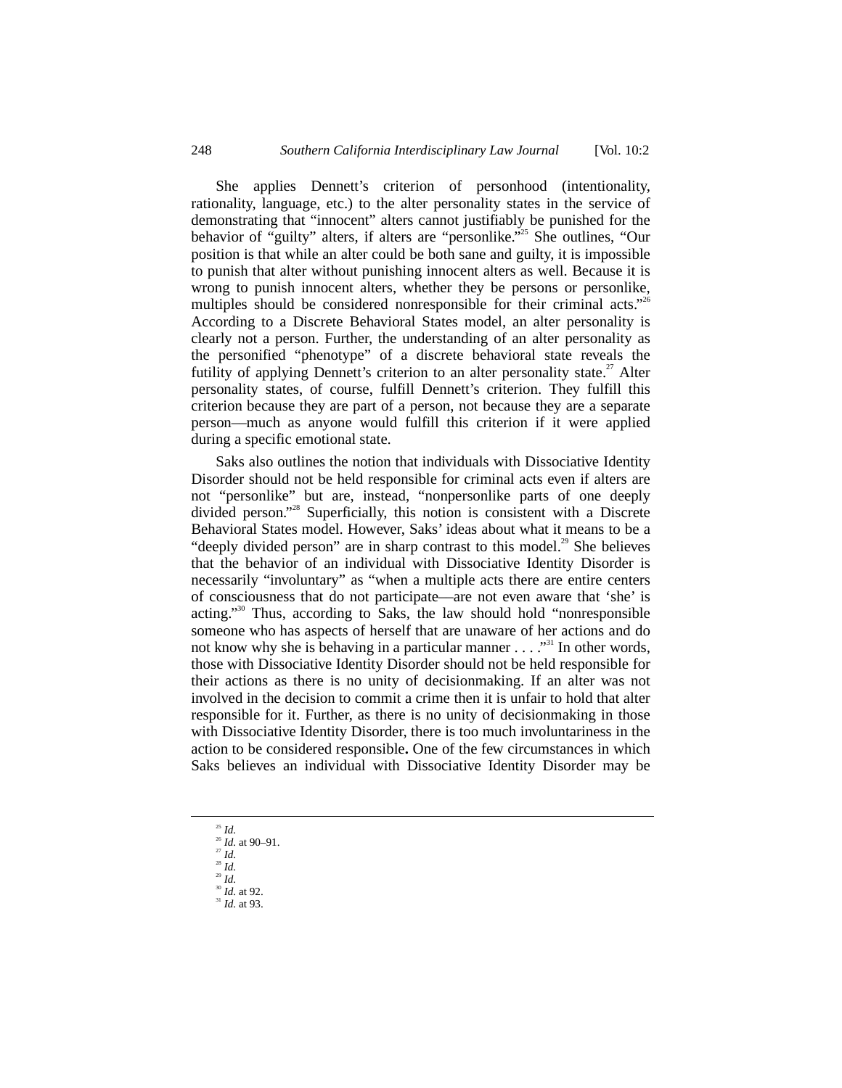She applies Dennett's criterion of personhood (intentionality, rationality, language, etc.) to the alter personality states in the service of demonstrating that "innocent" alters cannot justifiably be punished for the behavior of "guilty" alters, if alters are "personlike." 25 She outlines, "Our position is that while an alter could be both sane and guilty, it is impossible to punish that alter without punishing innocent alters as well. Because it is wrong to punish innocent alters, whether they be persons or personlike, multiples should be considered nonresponsible for their criminal acts."<sup>26</sup> According to a Discrete Behavioral States model, an alter personality is clearly not a person. Further, the understanding of an alter personality as the personified "phenotype" of a discrete behavioral state reveals the futility of applying Dennett's criterion to an alter personality state.<sup>27</sup> Alter personality states, of course, fulfill Dennett's criterion. They fulfill this criterion because they are part of a person, not because they are a separate person––much as anyone would fulfill this criterion if it were applied during a specific emotional state.

Saks also outlines the notion that individuals with Dissociative Identity Disorder should not be held responsible for criminal acts even if alters are not "personlike" but are, instead, "nonpersonlike parts of one deeply divided person." 28 Superficially, this notion is consistent with a Discrete Behavioral States model. However, Saks' ideas about what it means to be a "deeply divided person" are in sharp contrast to this model.<sup>29</sup> She believes that the behavior of an individual with Dissociative Identity Disorder is necessarily "involuntary" as "when a multiple acts there are entire centers of consciousness that do not participate––are not even aware that 'she' is acting." 30 Thus, according to Saks, the law should hold "nonresponsible someone who has aspects of herself that are unaware of her actions and do not know why she is behaving in a particular manner  $\dots$ .  $\cdot$ <sup>31</sup>. In other words, those with Dissociative Identity Disorder should not be held responsible for their actions as there is no unity of decisionmaking. If an alter was not involved in the decision to commit a crime then it is unfair to hold that alter responsible for it. Further, as there is no unity of decisionmaking in those with Dissociative Identity Disorder, there is too much involuntariness in the action to be considered responsible**.** One of the few circumstances in which Saks believes an individual with Dissociative Identity Disorder may be

- 25 *Id.*
- <sup>26</sup> *Id.* at 90–91. <sup>27</sup> *Id.*
- <sup>28</sup> *Id.*
- <sup>29</sup> *Id.*
- <sup>30</sup> *Id.* at 92.<br><sup>31</sup> *Id.* at 93.
-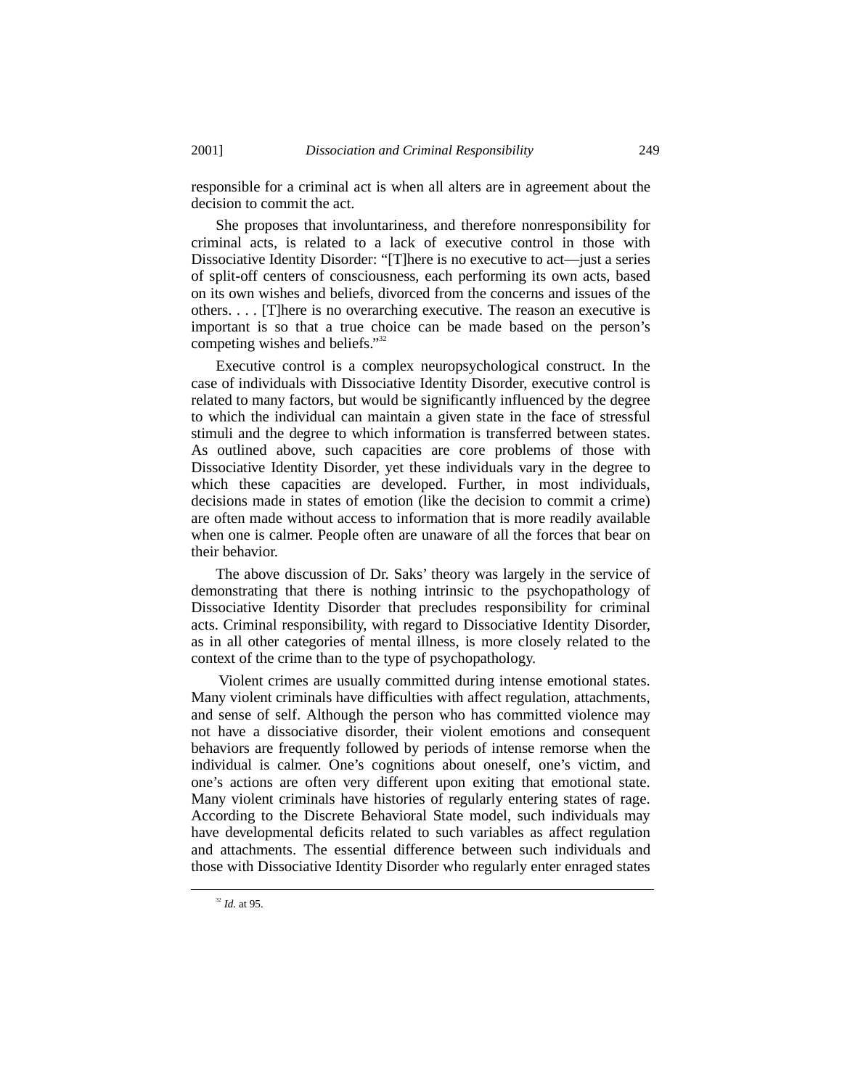responsible for a criminal act is when all alters are in agreement about the decision to commit the act.

She proposes that involuntariness, and therefore nonresponsibility for criminal acts, is related to a lack of executive control in those with Dissociative Identity Disorder: "[T]here is no executive to act—just a series of split-off centers of consciousness, each performing its own acts, based on its own wishes and beliefs, divorced from the concerns and issues of the others. . . . [T]here is no overarching executive. The reason an executive is important is so that a true choice can be made based on the person's competing wishes and beliefs."<sup>32</sup>

Executive control is a complex neuropsychological construct. In the case of individuals with Dissociative Identity Disorder, executive control is related to many factors, but would be significantly influenced by the degree to which the individual can maintain a given state in the face of stressful stimuli and the degree to which information is transferred between states. As outlined above, such capacities are core problems of those with Dissociative Identity Disorder, yet these individuals vary in the degree to which these capacities are developed. Further, in most individuals, decisions made in states of emotion (like the decision to commit a crime) are often made without access to information that is more readily available when one is calmer. People often are unaware of all the forces that bear on their behavior.

The above discussion of Dr. Saks' theory was largely in the service of demonstrating that there is nothing intrinsic to the psychopathology of Dissociative Identity Disorder that precludes responsibility for criminal acts. Criminal responsibility, with regard to Dissociative Identity Disorder, as in all other categories of mental illness, is more closely related to the context of the crime than to the type of psychopathology.

 Violent crimes are usually committed during intense emotional states. Many violent criminals have difficulties with affect regulation, attachments, and sense of self. Although the person who has committed violence may not have a dissociative disorder, their violent emotions and consequent behaviors are frequently followed by periods of intense remorse when the individual is calmer. One's cognitions about oneself, one's victim, and one's actions are often very different upon exiting that emotional state. Many violent criminals have histories of regularly entering states of rage. According to the Discrete Behavioral State model, such individuals may have developmental deficits related to such variables as affect regulation and attachments. The essential difference between such individuals and those with Dissociative Identity Disorder who regularly enter enraged states

 <sup>32</sup> *Id.* at 95.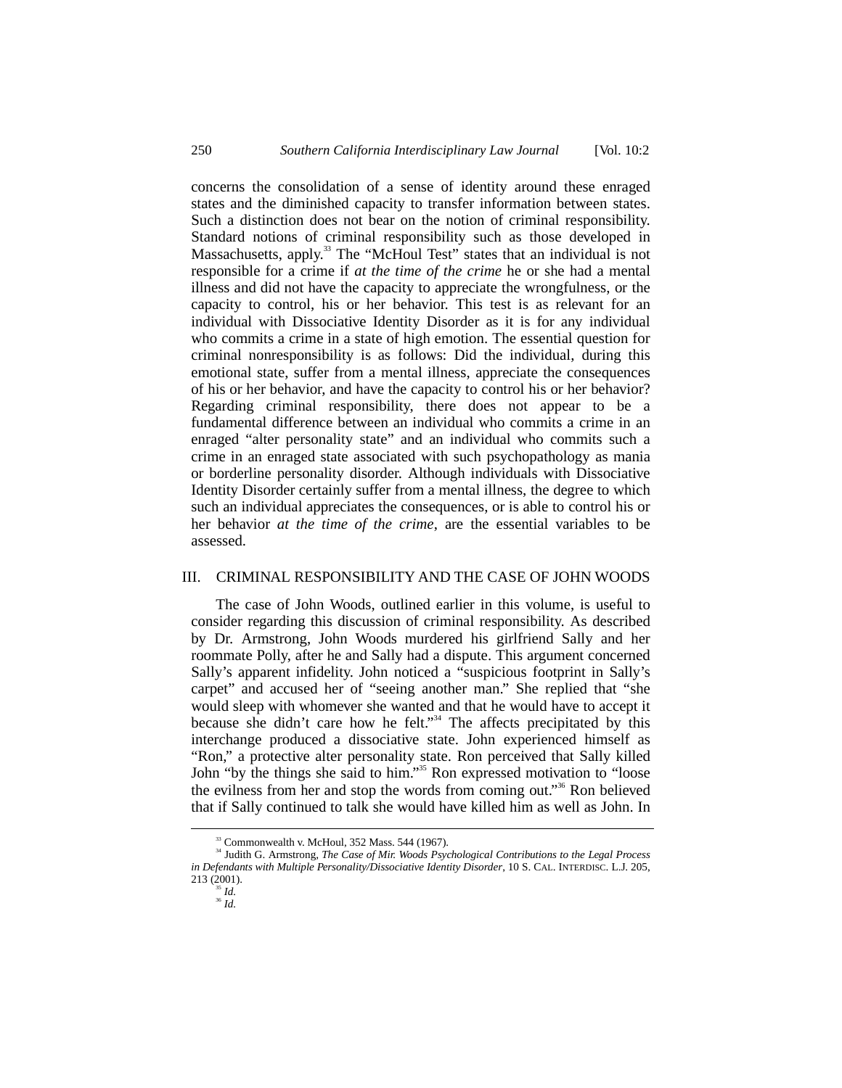concerns the consolidation of a sense of identity around these enraged states and the diminished capacity to transfer information between states. Such a distinction does not bear on the notion of criminal responsibility. Standard notions of criminal responsibility such as those developed in Massachusetts, apply.<sup>33</sup> The "McHoul Test" states that an individual is not responsible for a crime if *at the time of the crime* he or she had a mental illness and did not have the capacity to appreciate the wrongfulness, or the capacity to control, his or her behavior. This test is as relevant for an individual with Dissociative Identity Disorder as it is for any individual who commits a crime in a state of high emotion. The essential question for criminal nonresponsibility is as follows: Did the individual, during this emotional state, suffer from a mental illness, appreciate the consequences of his or her behavior, and have the capacity to control his or her behavior? Regarding criminal responsibility, there does not appear to be a fundamental difference between an individual who commits a crime in an enraged "alter personality state" and an individual who commits such a crime in an enraged state associated with such psychopathology as mania or borderline personality disorder. Although individuals with Dissociative Identity Disorder certainly suffer from a mental illness, the degree to which such an individual appreciates the consequences, or is able to control his or her behavior *at the time of the crime*, are the essential variables to be assessed.

#### III. CRIMINAL RESPONSIBILITY AND THE CASE OF JOHN WOODS

The case of John Woods, outlined earlier in this volume, is useful to consider regarding this discussion of criminal responsibility. As described by Dr. Armstrong, John Woods murdered his girlfriend Sally and her roommate Polly, after he and Sally had a dispute. This argument concerned Sally's apparent infidelity. John noticed a "suspicious footprint in Sally's carpet" and accused her of "seeing another man." She replied that "she would sleep with whomever she wanted and that he would have to accept it because she didn't care how he felt."<sup>34</sup> The affects precipitated by this interchange produced a dissociative state. John experienced himself as "Ron," a protective alter personality state. Ron perceived that Sally killed John "by the things she said to him."<sup>35</sup> Ron expressed motivation to "loose the evilness from her and stop the words from coming out."<sup>36</sup> Ron believed that if Sally continued to talk she would have killed him as well as John. In

 $33$  Commonwealth v. McHoul,  $352$  Mass,  $544$  (1967).

<sup>&</sup>lt;sup>34</sup> Judith G. Armstrong, *The Case of Mir. Woods Psychological Contributions to the Legal Process in Defendants with Multiple Personality/Dissociative Identity Disorder*, 10 S. CAL. INTERDISC. L.J. 205, 213 (2001).

 $35$  *Id.* 

<sup>36</sup> *Id.*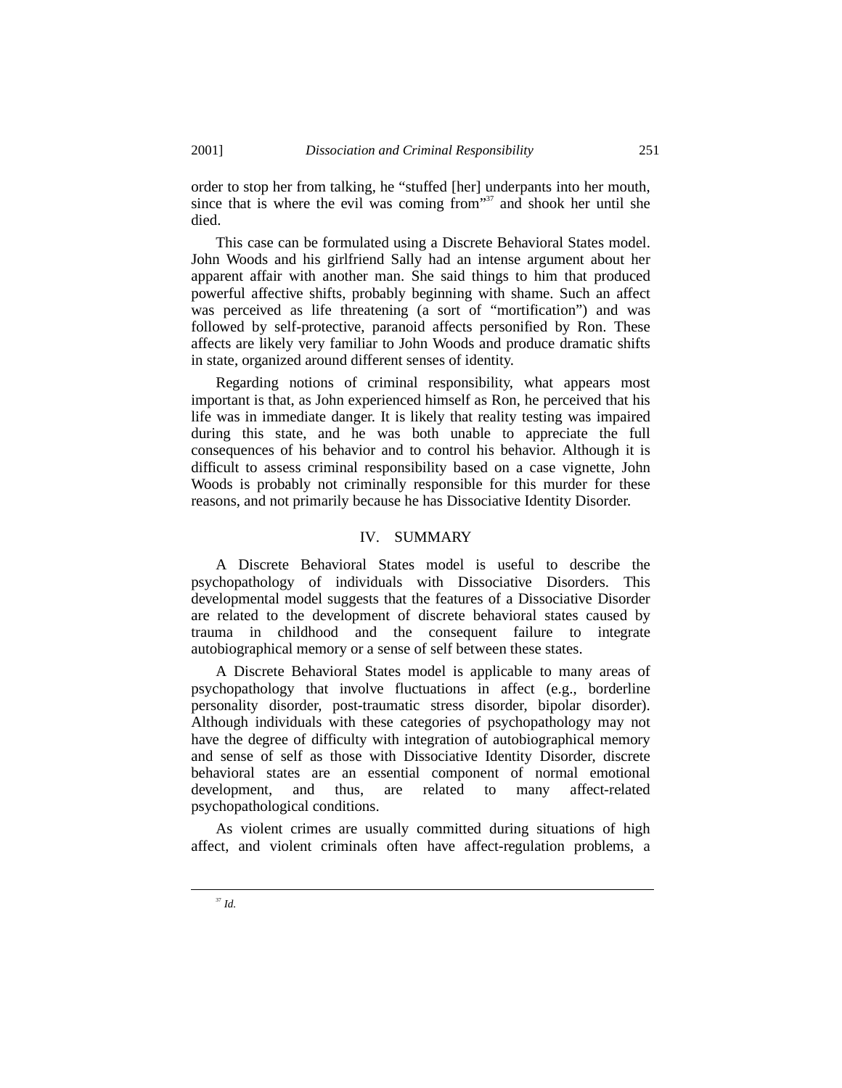order to stop her from talking, he "stuffed [her] underpants into her mouth, since that is where the evil was coming from  $137$  and shook her until she died.

This case can be formulated using a Discrete Behavioral States model. John Woods and his girlfriend Sally had an intense argument about her apparent affair with another man. She said things to him that produced powerful affective shifts, probably beginning with shame. Such an affect was perceived as life threatening (a sort of "mortification") and was followed by self-protective, paranoid affects personified by Ron. These affects are likely very familiar to John Woods and produce dramatic shifts in state, organized around different senses of identity.

Regarding notions of criminal responsibility, what appears most important is that, as John experienced himself as Ron, he perceived that his life was in immediate danger. It is likely that reality testing was impaired during this state, and he was both unable to appreciate the full consequences of his behavior and to control his behavior. Although it is difficult to assess criminal responsibility based on a case vignette, John Woods is probably not criminally responsible for this murder for these reasons, and not primarily because he has Dissociative Identity Disorder.

#### IV. SUMMARY

A Discrete Behavioral States model is useful to describe the psychopathology of individuals with Dissociative Disorders. This developmental model suggests that the features of a Dissociative Disorder are related to the development of discrete behavioral states caused by trauma in childhood and the consequent failure to integrate autobiographical memory or a sense of self between these states.

A Discrete Behavioral States model is applicable to many areas of psychopathology that involve fluctuations in affect (e.g., borderline personality disorder, post-traumatic stress disorder, bipolar disorder). Although individuals with these categories of psychopathology may not have the degree of difficulty with integration of autobiographical memory and sense of self as those with Dissociative Identity Disorder, discrete behavioral states are an essential component of normal emotional development, and thus, are related to many affect-related psychopathological conditions.

As violent crimes are usually committed during situations of high affect, and violent criminals often have affect-regulation problems, a